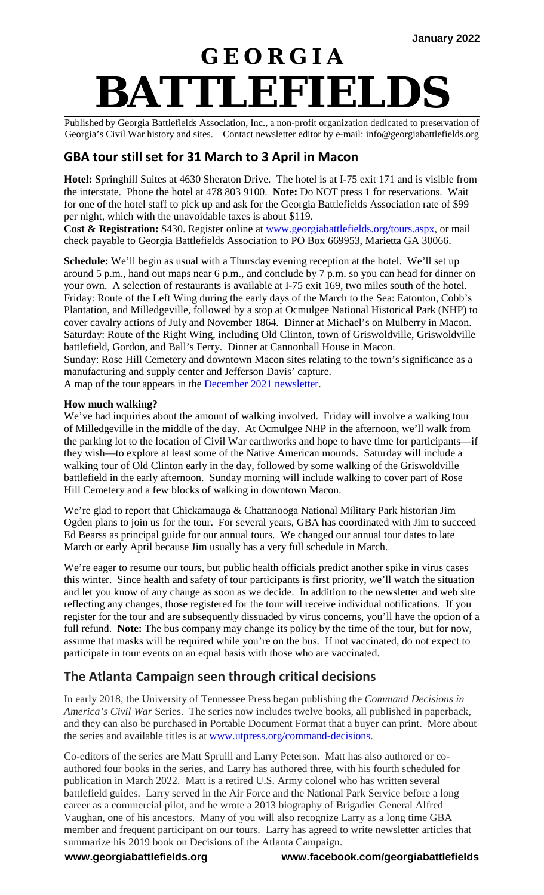# **G E O R G I A BATTLEFIELDS**

Published by Georgia Battlefields Association, Inc., a non-profit organization dedicated to preservation of Georgia's Civil War history and sites. Contact newsletter editor by e-mail: info@georgiabattlefields.org

## **GBA tour still set for 31 March to 3 April in Macon**

**Hotel:** Springhill Suites at 4630 Sheraton Drive. The hotel is at I-75 exit 171 and is visible from the interstate. Phone the hotel at 478 803 9100. **Note:** Do NOT press 1 for reservations. Wait for one of the hotel staff to pick up and ask for the Georgia Battlefields Association rate of \$99 per night, which with the unavoidable taxes is about \$119.

**Cost & Registration:** \$430. Register online at [www.georgiabattlefields.org/tours.aspx,](http://www.georgiabattlefields.org/tours.aspx) or mail check payable to Georgia Battlefields Association to PO Box 669953, Marietta GA 30066.

**Schedule:** We'll begin as usual with a Thursday evening reception at the hotel. We'll set up around 5 p.m., hand out maps near 6 p.m., and conclude by 7 p.m. so you can head for dinner on your own. A selection of restaurants is available at I-75 exit 169, two miles south of the hotel. Friday: Route of the Left Wing during the early days of the March to the Sea: Eatonton, Cobb's Plantation, and Milledgeville, followed by a stop at Ocmulgee National Historical Park (NHP) to cover cavalry actions of July and November 1864. Dinner at Michael's on Mulberry in Macon. Saturday: Route of the Right Wing, including Old Clinton, town of Griswoldville, Griswoldville battlefield, Gordon, and Ball's Ferry. Dinner at Cannonball House in Macon.

Sunday: Rose Hill Cemetery and downtown Macon sites relating to the town's significance as a manufacturing and supply center and Jefferson Davis' capture.

A map of the tour appears in the [December 2021 newsletter.](http://georgiabattlefields.org/newsletters.aspx)

#### **How much walking?**

We've had inquiries about the amount of walking involved. Friday will involve a walking tour of Milledgeville in the middle of the day. At Ocmulgee NHP in the afternoon, we'll walk from the parking lot to the location of Civil War earthworks and hope to have time for participants—if they wish—to explore at least some of the Native American mounds. Saturday will include a walking tour of Old Clinton early in the day, followed by some walking of the Griswoldville battlefield in the early afternoon. Sunday morning will include walking to cover part of Rose Hill Cemetery and a few blocks of walking in downtown Macon.

We're glad to report that Chickamauga & Chattanooga National Military Park historian Jim Ogden plans to join us for the tour. For several years, GBA has coordinated with Jim to succeed Ed Bearss as principal guide for our annual tours. We changed our annual tour dates to late March or early April because Jim usually has a very full schedule in March.

We're eager to resume our tours, but public health officials predict another spike in virus cases this winter. Since health and safety of tour participants is first priority, we'll watch the situation and let you know of any change as soon as we decide. In addition to the newsletter and web site reflecting any changes, those registered for the tour will receive individual notifications. If you register for the tour and are subsequently dissuaded by virus concerns, you'll have the option of a full refund. **Note:** The bus company may change its policy by the time of the tour, but for now, assume that masks will be required while you're on the bus. If not vaccinated, do not expect to participate in tour events on an equal basis with those who are vaccinated.

## **The Atlanta Campaign seen through critical decisions**

In early 2018, the University of Tennessee Press began publishing the *Command Decisions in America's Civil War* Series. The series now includes twelve books, all published in paperback, and they can also be purchased in Portable Document Format that a buyer can print. More about the series and available titles is at [www.utpress.org/command-decisions.](http://www.utpress.org/command-decisions)

Co-editors of the series are Matt Spruill and Larry Peterson. Matt has also authored or coauthored four books in the series, and Larry has authored three, with his fourth scheduled for publication in March 2022. Matt is a retired U.S. Army colonel who has written several battlefield guides. Larry served in the Air Force and the National Park Service before a long career as a commercial pilot, and he wrote a 2013 biography of Brigadier General Alfred Vaughan, one of his ancestors. Many of you will also recognize Larry as a long time GBA member and frequent participant on our tours. Larry has agreed to write newsletter articles that summarize his 2019 book on Decisions of the Atlanta Campaign.

**www.georgiabattlefields.org www.facebook.com/georgiabattlefields**